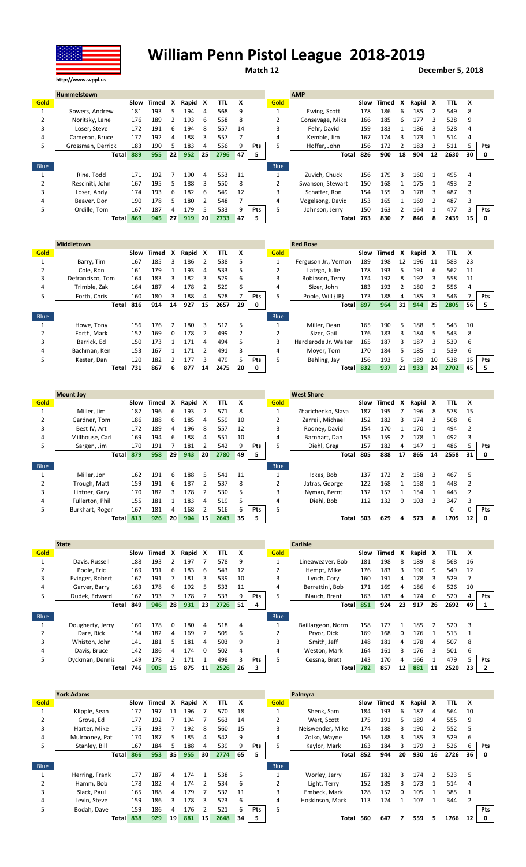## William Penn Pistol League 2018-2019

Match 12 December 5, 2018

|             | <b>Hummelstown</b> |      |       |    |         |    |            |    |            |             | <b>AMP</b>       |      |       |    |         |    |      |    |            |
|-------------|--------------------|------|-------|----|---------|----|------------|----|------------|-------------|------------------|------|-------|----|---------|----|------|----|------------|
| Gold        |                    | Slow | Timed | x  | Rapid X |    | <b>TTL</b> | X  |            | Gold        |                  | Slow | Timed | x  | Rapid X |    | TTL  | X  |            |
|             | Sowers, Andrew     | 181  | 193   | 5. | 194     | 4  | 568        | 9  |            |             | Ewing, Scott     | 178  | 186   | 6  | 185     |    | 549  | 8  |            |
|             | Noritsky, Lane     | 176  | 189   |    | 193     | 6  | 558        | 8  |            | 2           | Consevage, Mike  | 166  | 185   | 6. | 177     | 3  | 528  | 9  |            |
| 3           | Loser. Steve       | 172  | 191   | 6  | 194     | 8  | 557        | 14 |            | 3           | Fehr. David      | 159  | 183   |    | 186     | 3  | 528  |    |            |
| 4           | Cameron, Bruce     | 177  | 192   | 4  | 188     | 3  | 557        |    |            | 4           | Kemble, Jim      | 167  | 174   | 3  | 173     |    | 514  | 4  |            |
| 5           | Grossman, Derrick  | 183  | 190   |    | 183     |    | 556        |    | Pts        | 5           | Hoffer, John     | 156  | 172   |    | 183     | 3  | 511  |    | <b>Pts</b> |
|             | <b>Total</b>       | 889  | 955   | 22 | 952     | 25 | 2796       | 47 | 5          |             | Total            | 826  | 900   | 18 | 904     | 12 | 2630 | 30 | 0          |
| <b>Blue</b> |                    |      |       |    |         |    |            |    |            | <b>Blue</b> |                  |      |       |    |         |    |      |    |            |
|             | Rine, Todd         | 171  | 192   |    | 190     | 4  | 553        | 11 |            |             | Zuvich, Chuck    | 156  | 179   | ξ  | 160     |    | 495  |    |            |
|             | Resciniti. John    | 167  | 195   | 5. | 188     | 3  | 550        | 8  |            |             | Swanson, Stewart | 150  | 168   |    | 175     |    | 493  |    |            |
| 3           | Loser, Andy        | 174  | 193   | h  | 182     | 6  | 549        | 12 |            | 3           | Schaffer, Ron    | 154  | 155   |    | 178     |    | 487  |    |            |
| 4           | Beaver, Don        | 190  | 178   |    | 180     | 2  | 548        |    |            | 4           | Vogelsong, David | 153  | 165   |    | 169     |    | 487  |    |            |
| 5           | Ordille, Tom       | 167  | 187   | 4  | 179     | 5  | 533        |    | <b>Pts</b> | 5.          | Johnson, Jerry   | 150  | 163   |    | 164     |    | 477  |    | <b>Pts</b> |
|             | <b>Total</b>       | 869  | 945   | 27 | 919     | 20 | 2733       | 47 | 5          |             | Total            | 763  | 830   |    | 846     | 8  | 2439 | 15 | 0          |

|               | <b>Middletown</b> |      |       |          |         |    |      |    |            |             | <b>Red Rose</b>       |     |            |    |         |    |      |    |            |
|---------------|-------------------|------|-------|----------|---------|----|------|----|------------|-------------|-----------------------|-----|------------|----|---------|----|------|----|------------|
| Gold          |                   | Slow | Timed | x        | Rapid X |    | TTL  | X  |            | Gold        |                       |     | Slow Timed | x  | Rapid X |    | TTL  | X  |            |
|               | Barry, Tim        | 167  | 185   |          | 186     |    | 538  |    |            |             | Ferguson Jr., Vernon  | 189 | 198        | 12 | 196     | 11 | 583  | 23 |            |
| $\mathcal{L}$ | Cole, Ron         | 161  | 179   |          | 193     | 4  | 533  | 5  |            |             | Latzgo, Julie         | 178 | 193        | 5. | 191     | 6  | 562  | 11 |            |
|               | Defrancisco, Tom  | 164  | 183   |          | 182     | 3  | 529  | 6  |            |             | Robinson, Terry       | 174 | 192        | 8  | 192     | 3  | 558  | 11 |            |
| 4             | Trimble, Zak      | 164  | 187   | 4        | 178     |    | 529  | 6  |            | 4           | Sizer, John           | 183 | 193        |    | 180     |    | 556  | 4  |            |
| 5.            | Forth. Chris      | 160  | 180   |          | 188     | 4  | 528  |    | <b>Pts</b> | 5           | Poole, Will {JR}      | 173 | 188        | 4  | 185     | 3  | 546  |    | <b>Pts</b> |
|               | Total             | 816  | 914   | 14       | 927     | 15 | 2657 | 29 | 0          |             | <b>Total</b>          | 897 | 964        | 31 | 944     | 25 | 2805 | 56 | 5          |
| Blue          |                   |      |       |          |         |    |      |    |            | <b>Blue</b> |                       |     |            |    |         |    |      |    |            |
|               | Howe, Tony        | 156  | 176   |          | 180     | 3  | 512  | 5  |            |             | Miller. Dean          | 165 | 190        | 5  | 188     | 5  | 543  | 10 |            |
|               | Forth, Mark       | 152  | 169   | $\Omega$ | 178     |    | 499  |    |            |             | Sizer, Gail           | 176 | 183        | Ρ  | 184     | 5  | 543  | 8  |            |
|               | Barrick. Ed       | 150  | 173   |          | 171     | 4  | 494  |    |            | 3           | Harclerode Jr, Walter | 165 | 187        | ર  | 187     | ς  | 539  | 6  |            |
| 4             | Bachman, Ken      | 153  | 167   |          | 171     |    | 491  |    |            | 4           | Moyer, Tom            | 170 | 184        | 5. | 185     |    | 539  | b  |            |
| 5.            | Kester, Dan       | 120  | 182   |          | 177     | ς  | 479  |    | <b>Pts</b> |             | Behling, Jay          | 156 | 193        | 5. | 189     | 10 | 538  | 15 | <b>Pts</b> |
|               | Total             | 731  | 867   | 6.       | 877     | 14 | 2475 | 20 | 0          |             | <b>Total</b>          | 832 | 937        | 21 | 933     | 24 | 2702 | 45 |            |

|             | <b>Mount Joy</b> |      |       |    |       |               |      |    |            |             | <b>West Shore</b>  |      |       |               |         |    |              |              |            |
|-------------|------------------|------|-------|----|-------|---------------|------|----|------------|-------------|--------------------|------|-------|---------------|---------|----|--------------|--------------|------------|
| Gold        |                  | Slow | Timed | x  | Rapid | X             | TTL  | x  |            | Gold        |                    | Slow | Timed | X             | Rapid X |    | <b>TTL</b>   | x            |            |
|             | Miller, Jim      | 182  | 196   | 6  | 193   |               | 571  | 8  |            |             | Zharichenko, Slava | 187  | 195   |               | 196     | 8  | 578          | 15           |            |
|             | Gardner, Tom     | 186  | 188   | 6  | 185   | 4             | 559  | 10 |            |             | Zarreii, Michael   | 152  | 182   |               | 174     | ξ  | 508          | 6            |            |
| 3           | Best IV, Art     | 172  | 189   | 4  | 196   | 8             | 557  | 12 |            |             | Rodney, David      | 154  | 170   |               | 170     |    | 494          |              |            |
| 4           | Millhouse, Carl  | 169  | 194   | 6  | 188   | 4             | 551  | 10 |            | 4           | Barnhart, Dan      | 155  | 159   |               | 178     |    | 492          |              |            |
| 5           | Sargen, Jim      | 170  | 191   |    | 181   |               | 542  |    | Pts        | 5           | Diehl, Greg        | 157  | 182   | 4             | 147     |    | 486          |              | <b>Pts</b> |
|             | <b>Total</b>     | 879  | 958   | 29 | 943   | 20            | 2780 | 49 | 5          |             | Total              | 805  | 888   | 17            | 865     | 14 | 2558         | 31           | 0          |
|             |                  |      |       |    |       |               |      |    |            |             |                    |      |       |               |         |    |              |              |            |
| <b>Blue</b> |                  |      |       |    |       |               |      |    |            | <b>Blue</b> |                    |      |       |               |         |    |              |              |            |
|             | Miller, Jon      | 162  | 191   | 6  | 188   | 5             | 541  | 11 |            |             | Ickes. Bob         | 137  | 172   | $\mathcal{P}$ | 158     | ς  | 467          | 5            |            |
|             | Trough, Matt     | 159  | 191   | 6  | 187   |               | 537  | 8  |            |             | Jatras, George     | 122  | 168   |               | 158     |    | 448          |              |            |
| 3           | Lintner, Gary    | 170  | 182   | 3  | 178   | $\mathcal{P}$ | 530  | 5  |            | 3           | Nyman, Bernt       | 132  | 157   |               | 154     |    | 443          |              |            |
| 4           | Fullerton, Phil  | 155  | 181   |    | 183   | 4             | 519  |    |            | 4           | Diehl, Bob         | 112  | 132   | 0             | 103     | 3  | 347          |              |            |
| 5.          | Burkhart, Roger  | 167  | 181   | 4  | 168   |               | 516  | h  | <b>Pts</b> | 5           |                    |      |       |               |         |    | <sup>0</sup> | <sup>0</sup> | <b>Pts</b> |

|             | <b>State</b>     |      |       |          |       |          |      |    |            |             | <b>Carlisle</b>   |      |       |              |         |               |      |    |            |
|-------------|------------------|------|-------|----------|-------|----------|------|----|------------|-------------|-------------------|------|-------|--------------|---------|---------------|------|----|------------|
| Gold        |                  | Slow | Timed | x        | Rapid | x        | TTL  | x  |            | Gold        |                   | Slow | Timed | X            | Rapid X |               | TTL  | x  |            |
|             | Davis, Russell   | 188  | 193   |          | 197   |          | 578  | 9  |            |             | Lineaweaver, Bob  | 181  | 198   | 8            | 189     | 8             | 568  | 16 |            |
|             | Poole, Eric      | 169  | 191   | 6        | 183   | 6        | 543  | 12 |            |             | Hempt, Mike       | 176  | 183   |              | 190     | 9             | 549  | 12 |            |
| 3           | Evinger, Robert  | 167  | 191   |          | 181   | 3        | 539  | 10 |            |             | Lynch, Cory       | 160  | 191   | 4            | 178     | Ρ             | 529  |    |            |
| 4           | Garver, Barry    | 163  | 178   | 6        | 192   | 5        | 533  | 11 |            | 4           | Berrettini, Bob   | 171  | 169   | 4            | 186     | 6             | 526  | 10 |            |
| 5           | Dudek, Edward    | 162  | 193   |          | 178   |          | 533  | 9  | <b>Pts</b> |             | Blauch, Brent     | 163  | 183   | 4            | 174     | 0             | 520  | 4  | <b>Pts</b> |
|             | Total            | 849  | 946   | 28       | 931   | 23       | 2726 | 51 | 4          |             | <b>Total</b>      | 851  | 924   | 23           | 917     | 26            | 2692 | 49 |            |
|             |                  |      |       |          |       |          |      |    |            |             |                   |      |       |              |         |               |      |    |            |
| <b>Blue</b> |                  |      |       |          |       |          |      |    |            | <b>Blue</b> |                   |      |       |              |         |               |      |    |            |
|             | Dougherty, Jerry | 160  | 178   | $\Omega$ | 180   | 4        | 518  | 4  |            |             | Baillargeon, Norm | 158  | 177   |              | 185     | $\mathcal{P}$ | 520  | з  |            |
|             | Dare, Rick       | 154  | 182   | 4        | 169   |          | 505  | 6  |            |             | Pryor, Dick       | 169  | 168   | <sup>0</sup> | 176     |               | 513  |    |            |
| 3           | Whiston, John    | 141  | 181   | 5        | 181   | 4        | 503  | 9  |            |             | Smith. Jeff       | 148  | 181   | 4            | 178     | 4             | 507  | 8  |            |
| 4           | Davis, Bruce     | 142  | 186   | 4        | 174   | $\Omega$ | 502  | 4  |            | 4           | Weston, Mark      | 164  | 161   |              | 176     | ς             | 501  | 6  |            |
|             | Dyckman, Dennis  | 149  | 178   |          | 171   |          | 498  |    | <b>Pts</b> | 5           | Cessna, Brett     | 143  | 170   | Δ            | 166     |               | 479  |    | Pts        |

|      | <b>York Adams</b> |      |       |    |       |    |      |    |            |             | Palmyra          |      |       |          |       |               |      |    |            |
|------|-------------------|------|-------|----|-------|----|------|----|------------|-------------|------------------|------|-------|----------|-------|---------------|------|----|------------|
| Gold |                   | Slow | Timed | X  | Rapid | x  | TTL  | X  |            | Gold        |                  | Slow | Timed | x        | Rapid | X             | TTL. | X  |            |
|      | Klipple, Sean     | 177  | 197   | 11 | 196   |    | 570  | 18 |            |             | Shenk. Sam       | 184  | 193   | 6.       | 187   | 4             | 564  | 10 |            |
| 2    | Grove. Ed         | 177  | 192   |    | 194   |    | 563  | 14 |            |             | Wert. Scott      | 175  | 191   | 5.       | 189   | 4             | 555  | 9  |            |
| 3    | Harter, Mike      | 175  | 193   |    | 192   | 8  | 560  | 15 |            | 3           | Neiswender, Mike | 174  | 188   |          | 190   |               | 552  |    |            |
| 4    | Mulrooney, Pat    | 170  | 187   | 5. | 185   | 4  | 542  | 9  |            | 4           | Zolko, Wayne     | 156  | 188   | 3        | 185   | 3             | 529  | 6  |            |
| 5.   | Stanley, Bill     | 167  | 184   |    | 188   | 4  | 539  |    | <b>Pts</b> | 5           | Kaylor, Mark     | 163  | 184   |          | 179   | 3             | 526  | h  | <b>Pts</b> |
|      | <b>Total</b>      | 866  | 953   | 35 | 955   | 30 | 2774 | 65 | 5          |             | Total            | 852  | 944   | 20       | 930   | 16            | 2726 | 36 | 0          |
| Blue |                   |      |       |    |       |    |      |    |            | <b>Blue</b> |                  |      |       |          |       |               |      |    |            |
|      | Herring, Frank    | 177  | 187   | 4  | 174   |    | 538  | 5  |            |             | Worley, Jerry    | 167  | 182   |          | 174   | $\mathcal{P}$ | 523  | 5  |            |
| 2    | Hamm, Bob         | 178  | 182   | 4  | 174   |    | 534  | 6  |            |             | Light, Terry     | 152  | 189   |          | 173   |               | 514  | 4  |            |
| 3    | Slack, Paul       | 165  | 188   | 4  | 179   |    | 532  | 11 |            | 3           | Embeck. Mark     | 128  | 152   | $\Omega$ | 105   |               | 385  |    |            |
| 4    | Levin. Steve      | 159  | 186   | ς  | 178   | 3  | 523  | 6  |            | 4           | Hoskinson, Mark  | 113  | 124   |          | 107   |               | 344  |    |            |
| 5.   | Bodah, Dave       | 159  | 186   | 4  | 176   |    | 521  | h  | <b>Pts</b> |             |                  |      |       |          |       |               |      |    | Pts        |
|      | <b>Total</b>      | 838  | 929   | 19 | 881   | 15 | 2648 | 34 | 5          |             | Total            | 560  | 647   |          | 559   | 5             | 1766 | 12 | 0          |